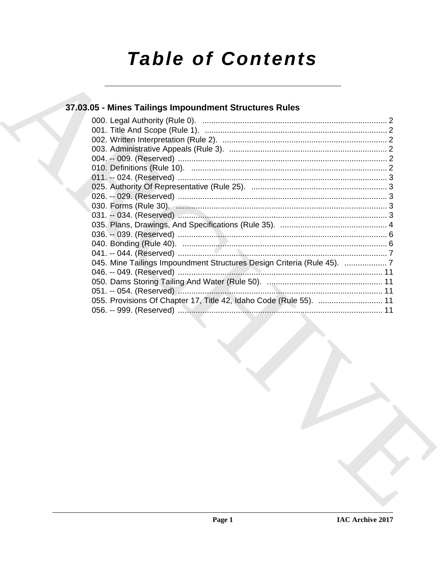# **Table of Contents**

# 37.03.05 - Mines Tailings Impoundment Structures Rules

| 045. Mine Tailings Impoundment Structures Design Criteria (Rule 45).  7 |  |
|-------------------------------------------------------------------------|--|
|                                                                         |  |
|                                                                         |  |
|                                                                         |  |
| 055. Provisions Of Chapter 17, Title 42, Idaho Code (Rule 55).  11      |  |
|                                                                         |  |
|                                                                         |  |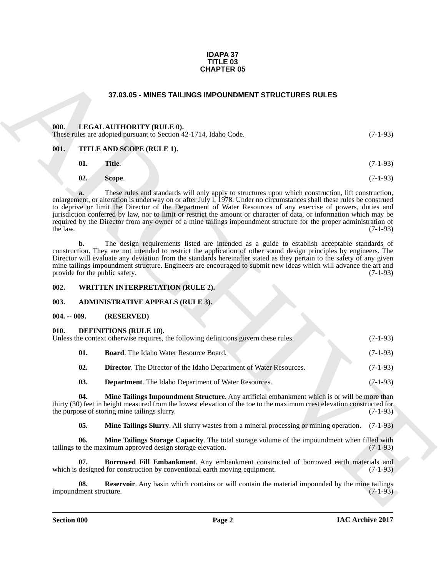#### **IDAPA 37 TITLE 03 CHAPTER 05**

#### **37.03.05 - MINES TAILINGS IMPOUNDMENT STRUCTURES RULES**

#### <span id="page-1-1"></span><span id="page-1-0"></span>**000. LEGAL AUTHORITY (RULE 0).**

These rules are adopted pursuant to Section 42-1714, Idaho Code. (7-1-93)

#### <span id="page-1-2"></span>**001. TITLE AND SCOPE (RULE 1).**

| 01.<br>Title. | $(7-1-93)$ |
|---------------|------------|
|---------------|------------|

**02. Scope**. (7-1-93)

**STAGISTS - MINES TAILINGS IMPOUNDENT STRUCTURES RULES**<br>
1970.005 - INTELLATION IT ULLE AND SCOPE (RULLE B.)<br>
1981. THE A ND SCOPE (RULLE 1).<br>
1981. THE A ND SCOPE (RULLE 1).<br>
1991. THE A ND SCOPE (RULLE 1).<br>
1992. The pr **a.** These rules and standards will only apply to structures upon which construction, lift construction, enlargement, or alteration is underway on or after July l, 1978. Under no circumstances shall these rules be construed to deprive or limit the Director of the Department of Water Resources of any exercise of powers, duties and jurisdiction conferred by law, nor to limit or restrict the amount or character of data, or information which may be required by the Director from any owner of a mine tailings impoundment structure for the proper administration of the law. (7-1-93) the law.  $(7-1-93)$ 

**b.** The design requirements listed are intended as a guide to establish acceptable standards of construction. They are not intended to restrict the application of other sound design principles by engineers. The Director will evaluate any deviation from the standards hereinafter stated as they pertain to the safety of any given mine tailings impoundment structure. Engineers are encouraged to submit new ideas which will advance the art and provide for the public safety. (7-1-93) provide for the public safety.

#### <span id="page-1-3"></span>**002. WRITTEN INTERPRETATION (RULE 2).**

#### <span id="page-1-4"></span>**003. ADMINISTRATIVE APPEALS (RULE 3).**

#### <span id="page-1-5"></span>**004. -- 009. (RESERVED)**

#### <span id="page-1-7"></span><span id="page-1-6"></span>**010. DEFINITIONS (RULE 10).**

| Unless the context otherwise requires, the following definitions govern these rules. |                                               |  |            |  |
|--------------------------------------------------------------------------------------|-----------------------------------------------|--|------------|--|
|                                                                                      | <b>Board.</b> The Idaho Water Resource Board. |  | $(7-1-93)$ |  |

- <span id="page-1-11"></span><span id="page-1-8"></span>**02. Director**. The Director of the Idaho Department of Water Resources. (7-1-93)
- <span id="page-1-12"></span><span id="page-1-10"></span>**03. Department**. The Idaho Department of Water Resources. (7-1-93)

**04. Mine Tailings Impoundment Structure**. Any artificial embankment which is or will be more than thirty (30) feet in height measured from the lowest elevation of the toe to the maximum crest elevation constructed for the purpose of storing mine tailings slurry. (7-1-93)

<span id="page-1-14"></span><span id="page-1-13"></span><span id="page-1-9"></span>**05. Mine Tailings Slurry**. All slurry wastes from a mineral processing or mining operation. (7-1-93)

**06. Mine Tailings Storage Capacity**. The total storage volume of the impoundment when filled with o the maximum approved design storage elevation. (7-1-93) tailings to the maximum approved design storage elevation.

**07. Borrowed Fill Embankment**. Any embankment constructed of borrowed earth materials and designed for construction by conventional earth moving equipment. (7-1-93) which is designed for construction by conventional earth moving equipment.

<span id="page-1-15"></span>**08. Reservoir**. Any basin which contains or will contain the material impounded by the mine tailings ment structure. (7-1-93) impoundment structure.

**Section 000 Page 2**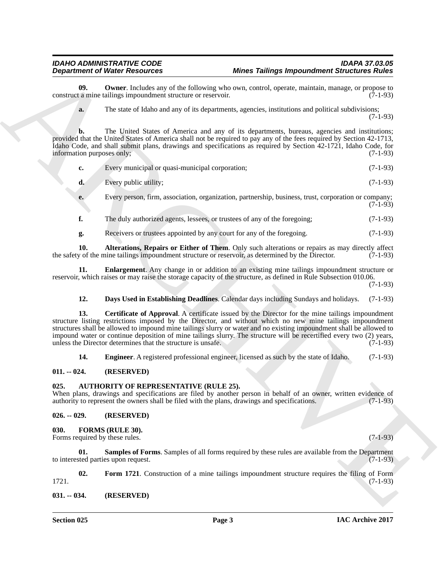<span id="page-2-11"></span>

|                                        | <b>Department of Water Resources</b>                                                                                                    | <b>Mines Tailings Impoundment Structures Rules</b>                                                                                                                                                                                                                                                                                                                                                                                                                   |            |
|----------------------------------------|-----------------------------------------------------------------------------------------------------------------------------------------|----------------------------------------------------------------------------------------------------------------------------------------------------------------------------------------------------------------------------------------------------------------------------------------------------------------------------------------------------------------------------------------------------------------------------------------------------------------------|------------|
| 09.                                    | construct a mine tailings impoundment structure or reservoir.                                                                           | <b>Owner</b> . Includes any of the following who own, control, operate, maintain, manage, or propose to                                                                                                                                                                                                                                                                                                                                                              | $(7-1-93)$ |
| a.                                     |                                                                                                                                         | The state of Idaho and any of its departments, agencies, institutions and political subdivisions;                                                                                                                                                                                                                                                                                                                                                                    | $(7-1-93)$ |
| b.<br>information purposes only;       |                                                                                                                                         | The United States of America and any of its departments, bureaus, agencies and institutions;<br>provided that the United States of America shall not be required to pay any of the fees required by Section 42-1713,<br>Idaho Code, and shall submit plans, drawings and specifications as required by Section 42-1721, Idaho Code, for                                                                                                                              | $(7-1-93)$ |
| c.                                     | Every municipal or quasi-municipal corporation;                                                                                         |                                                                                                                                                                                                                                                                                                                                                                                                                                                                      | $(7-1-93)$ |
| d.                                     | Every public utility;                                                                                                                   |                                                                                                                                                                                                                                                                                                                                                                                                                                                                      | $(7-1-93)$ |
| e.                                     |                                                                                                                                         | Every person, firm, association, organization, partnership, business, trust, corporation or company;                                                                                                                                                                                                                                                                                                                                                                 | $(7-1-93)$ |
| f.                                     | The duly authorized agents, lessees, or trustees of any of the foregoing;                                                               |                                                                                                                                                                                                                                                                                                                                                                                                                                                                      | $(7-1-93)$ |
| g.                                     | Receivers or trustees appointed by any court for any of the foregoing.                                                                  |                                                                                                                                                                                                                                                                                                                                                                                                                                                                      | $(7-1-93)$ |
| 10.                                    |                                                                                                                                         | Alterations, Repairs or Either of Them. Only such alterations or repairs as may directly affect<br>the safety of the mine tailings impoundment structure or reservoir, as determined by the Director.                                                                                                                                                                                                                                                                | $(7-1-93)$ |
| 11.                                    |                                                                                                                                         | <b>Enlargement.</b> Any change in or addition to an existing mine tailings impoundment structure or<br>reservoir, which raises or may raise the storage capacity of the structure, as defined in Rule Subsection 010.06.                                                                                                                                                                                                                                             | $(7-1-93)$ |
| 12.                                    |                                                                                                                                         | Days Used in Establishing Deadlines. Calendar days including Sundays and holidays.                                                                                                                                                                                                                                                                                                                                                                                   | $(7-1-93)$ |
| 13.                                    | unless the Director determines that the structure is unsafe.                                                                            | <b>Certificate of Approval.</b> A certificate issued by the Director for the mine tailings impoundment<br>structure listing restrictions imposed by the Director, and without which no new mine tailings impoundment<br>structures shall be allowed to impound mine tailings slurry or water and no existing impoundment shall be allowed to<br>impound water or continue deposition of mine tailings slurry. The structure will be recertified every two (2) years, | $(7-1-93)$ |
| 14.                                    |                                                                                                                                         | <b>Engineer.</b> A registered professional engineer, licensed as such by the state of Idaho.                                                                                                                                                                                                                                                                                                                                                                         | $(7-1-93)$ |
| $011. - 024.$                          | (RESERVED)                                                                                                                              |                                                                                                                                                                                                                                                                                                                                                                                                                                                                      |            |
| 025.                                   | AUTHORITY OF REPRESENTATIVE (RULE 25).<br>authority to represent the owners shall be filed with the plans, drawings and specifications. | When plans, drawings and specifications are filed by another person in behalf of an owner, written evidence of                                                                                                                                                                                                                                                                                                                                                       | $(7-1-93)$ |
| $026. - 029.$                          | (RESERVED)                                                                                                                              |                                                                                                                                                                                                                                                                                                                                                                                                                                                                      |            |
| 030.<br>Forms required by these rules. | FORMS (RULE 30).                                                                                                                        |                                                                                                                                                                                                                                                                                                                                                                                                                                                                      | $(7-1-93)$ |
| 01.                                    | to interested parties upon request.                                                                                                     | <b>Samples of Forms.</b> Samples of all forms required by these rules are available from the Department                                                                                                                                                                                                                                                                                                                                                              | $(7-1-93)$ |
|                                        |                                                                                                                                         | Form 1721. Construction of a mine tailings impoundment structure requires the filing of Form                                                                                                                                                                                                                                                                                                                                                                         |            |
| 02.<br>1721.                           |                                                                                                                                         |                                                                                                                                                                                                                                                                                                                                                                                                                                                                      | $(7-1-93)$ |

#### <span id="page-2-10"></span><span id="page-2-8"></span><span id="page-2-7"></span><span id="page-2-6"></span>**12. Days Used in Establishing Deadlines**. Calendar days including Sundays and holidays. (7-1-93)

### <span id="page-2-9"></span><span id="page-2-0"></span>**011. -- 024. (RESERVED)**

#### <span id="page-2-5"></span><span id="page-2-1"></span>**025. AUTHORITY OF REPRESENTATIVE (RULE 25).**

#### <span id="page-2-14"></span><span id="page-2-13"></span><span id="page-2-12"></span><span id="page-2-4"></span><span id="page-2-3"></span><span id="page-2-2"></span>**026. -- 029. (RESERVED)**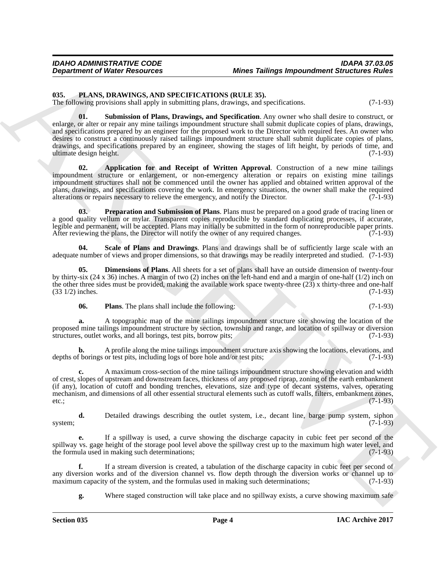## <span id="page-3-1"></span><span id="page-3-0"></span>**035. PLANS, DRAWINGS, AND SPECIFICATIONS (RULE 35).**

<span id="page-3-7"></span>The following provisions shall apply in submitting plans, drawings, and specifications. (7-1-93)

**Department of Niese Resources 6000 and Taiways International River Correspondent Structures River<br>
15. Photo, R. D. Monthology and a structure of DOLL 15. 159.<br>
16. Photoshop into the structure of DOLL 159.<br>
16. Photosho 01. Submission of Plans, Drawings, and Specification**. Any owner who shall desire to construct, or enlarge, or alter or repair any mine tailings impoundment structure shall submit duplicate copies of plans, drawings, and specifications prepared by an engineer for the proposed work to the Director with required fees. An owner who desires to construct a continuously raised tailings impoundment structure shall submit duplicate copies of plans, drawings, and specifications prepared by an engineer, showing the stages of lift height, by periods of time, and ultimate design height. (7-1-93)

<span id="page-3-2"></span>**02. Application for and Receipt of Written Approval**. Construction of a new mine tailings impoundment structure or enlargement, or non-emergency alteration or repairs on existing mine tailings impoundment structures shall not be commenced until the owner has applied and obtained written approval of the plans, drawings, and specifications covering the work. In emergency situations, the owner shall make the required alterations or repairs necessary to relieve the emergency, and notify the Director. (7-1-93)

<span id="page-3-5"></span>**03. Preparation and Submission of Plans**. Plans must be prepared on a good grade of tracing linen or a good quality vellum or mylar. Transparent copies reproducible by standard duplicating processes, if accurate, legible and permanent, will be accepted. Plans may initially be submitted in the form of nonreproducible paper prints.<br>After reviewing the plans, the Director will notify the owner of any required changes. (7-1-93) After reviewing the plans, the Director will notify the owner of any required changes.

<span id="page-3-6"></span>**04. Scale of Plans and Drawings**. Plans and drawings shall be of sufficiently large scale with an adequate number of views and proper dimensions, so that drawings may be readily interpreted and studied. (7-1-93)

**05. Dimensions of Plans**. All sheets for a set of plans shall have an outside dimension of twenty-four by thirty-six (24 x 36) inches. A margin of two (2) inches on the left-hand end and a margin of one-half (1/2) inch on the other three sides must be provided, making the available work space twenty-three (23) x thirty-three and one-half  $(33 \frac{1}{2})$  inches.  $(7-1-93)$ 

<span id="page-3-4"></span><span id="page-3-3"></span>**06.** Plans. The plans shall include the following: (7-1-93)

**a.** A topographic map of the mine tailings impoundment structure site showing the location of the proposed mine tailings impoundment structure by section, township and range, and location of spillway or diversion structures, outlet works, and all borings, test pits, borrow pits; (7-1-93) structures, outlet works, and all borings, test pits, borrow pits;

**b.** A profile along the mine tailings impoundment structure axis showing the locations, elevations, and f borings or test pits, including logs of bore hole and/or test pits; (7-1-93) depths of borings or test pits, including logs of bore hole and/or test pits;

**c.** A maximum cross-section of the mine tailings impoundment structure showing elevation and width of crest, slopes of upstream and downstream faces, thickness of any proposed riprap, zoning of the earth embankment (if any), location of cutoff and bonding trenches, elevations, size and type of decant systems, valves, operating mechanism, and dimensions of all other essential structural elements such as cutoff walls, filters, embankment zones, etc.;  $(7-1-93)$ 

**d.** Detailed drawings describing the outlet system, i.e., decant line, barge pump system, siphon (7-1-93) system;  $(7-1-93)$ 

**e.** If a spillway is used, a curve showing the discharge capacity in cubic feet per second of the spillway vs. gage height of the storage pool level above the spillway crest up to the maximum high water level, and the formula used in making such determinations; the formula used in making such determinations;

**f.** If a stream diversion is created, a tabulation of the discharge capacity in cubic feet per second of any diversion works and of the diversion channel vs. flow depth through the diversion works or channel up to maximum capacity of the system, and the formulas used in making such determinations; (7-1-93) maximum capacity of the system, and the formulas used in making such determinations;

**g.** Where staged construction will take place and no spillway exists, a curve showing maximum safe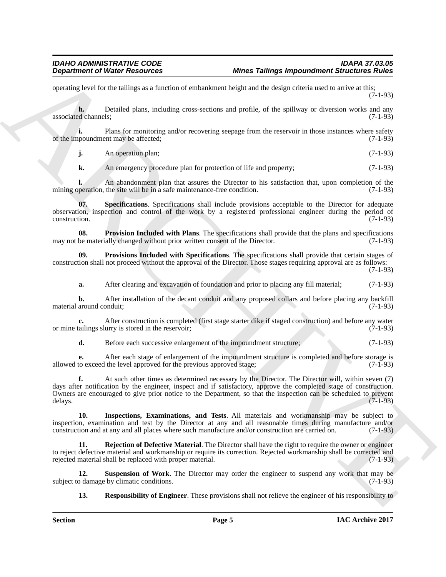operating level for the tailings as a function of embankment height and the design criteria used to arrive at this; (7-1-93)

**h.** Detailed plans, including cross-sections and profile, of the spillway or diversion works and any associated channels;  $(7-1-93)$ 

**i.** Plans for monitoring and/or recovering seepage from the reservoir in those instances where safety nooundment may be affected: (7-1-93) of the impoundment may be affected;

**j.** An operation plan; (7-1-93)

<span id="page-4-5"></span>**k.** An emergency procedure plan for protection of life and property; (7-1-93)

**l.** An abandonment plan that assures the Director to his satisfaction that, upon completion of the mining operation, the site will be in a safe maintenance-free condition. (7-1-93)

**07. Specifications**. Specifications shall include provisions acceptable to the Director for adequate observation, inspection and control of the work by a registered professional engineer during the period of construction. (7-1-93)

<span id="page-4-1"></span>**08. Provision Included with Plans**. The specifications shall provide that the plans and specifications be materially changed without prior written consent of the Director. (7-1-93) may not be materially changed without prior written consent of the Director.

**09. Provisions Included with Specifications**. The specifications shall provide that certain stages of construction shall not proceed without the approval of the Director. Those stages requiring approval are as follows:

(7-1-93)

<span id="page-4-2"></span>**a.** After clearing and excavation of foundation and prior to placing any fill material; (7-1-93)

**b.** After installation of the decant conduit and any proposed collars and before placing any backfill material around conduit; (7-1-93)

**c.** After construction is completed (first stage starter dike if staged construction) and before any water or mine tailings slurry is stored in the reservoir; (7-1-93)

**d.** Before each successive enlargement of the impoundment structure; (7-1-93)

**e.** After each stage of enlargement of the impoundment structure is completed and before storage is to exceed the level approved for the previous approved stage; (7-1-93) allowed to exceed the level approved for the previous approved stage;

**Department of Niese Resources Mones Tailing Impoundment Structures Rives<br>
syncalize as Archives and the value of a fact that the system and the system of the system of the results of the system of the system of the syste f.** At such other times as determined necessary by the Director. The Director will, within seven (7) days after notification by the engineer, inspect and if satisfactory, approve the completed stage of construction. Owners are encouraged to give prior notice to the Department, so that the inspection can be scheduled to prevent delays.  $(7-1-93)$ 

<span id="page-4-0"></span>**10. Inspections, Examinations, and Tests**. All materials and workmanship may be subject to inspection, examination and test by the Director at any and all reasonable times during manufacture and/or construction and at any and all places where such manufacture and/or construction are carried on. (7-1-93)

<span id="page-4-3"></span>**11. Rejection of Defective Material**. The Director shall have the right to require the owner or engineer to reject defective material and workmanship or require its correction. Rejected workmanship shall be corrected and rejected material shall be replaced with proper material. (7-1-93)

**12. Suspension of Work**. The Director may order the engineer to suspend any work that may be o damage by climatic conditions. (7-1-93) subject to damage by climatic conditions.

<span id="page-4-6"></span><span id="page-4-4"></span>**13. Responsibility of Engineer**. These provisions shall not relieve the engineer of his responsibility to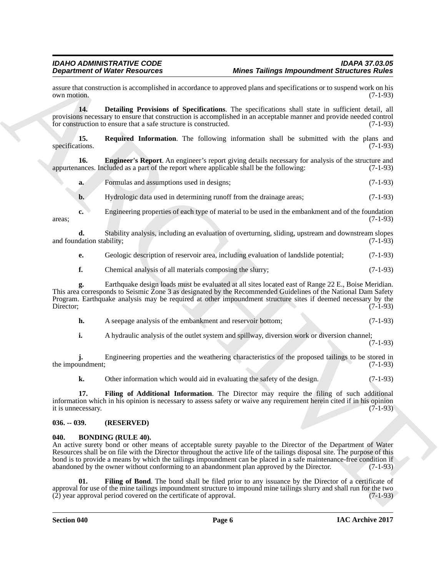assure that construction is accomplished in accordance to approved plans and specifications or to suspend work on his own motion. (7-1-93)  $\sim$   $(7-1-93)$  (7-1-93)

<span id="page-5-4"></span>**14. Detailing Provisions of Specifications**. The specifications shall state in sufficient detail, all provisions necessary to ensure that construction is accomplished in an acceptable manner and provide needed control for construction to ensure that a safe structure is constructed. (7-1-93)

<span id="page-5-7"></span>**15. Required Information**. The following information shall be submitted with the plans and tions. (7-1-93) specifications.

**16. Engineer's Report**. An engineer's report giving details necessary for analysis of the structure and ances. Included as a part of the report where applicable shall be the following: (7-1-93) appurtenances. Included as a part of the report where applicable shall be the following:

<span id="page-5-5"></span>**a.** Formulas and assumptions used in designs; (7-1-93)

**b.** Hydrologic data used in determining runoff from the drainage areas; (7-1-93)

**c.** Engineering properties of each type of material to be used in the embankment and of the foundation  $\alpha$ reas; (7-1-93)

**d.** Stability analysis, including an evaluation of overturning, sliding, upstream and downstream slopes dation stability; (7-1-93) and foundation stability;

- **e.** Geologic description of reservoir area, including evaluation of landslide potential; (7-1-93)
- **f.** Chemical analysis of all materials composing the slurry; (7-1-93)

**Experimente of Weight Proposition 2.** More Tailing is input procedure of Structure of Nicolas Construction 10.<br>
2. The method of the structure of the structure of the structure of the structure of the structure of the st **g.** Earthquake design loads must be evaluated at all sites located east of Range 22 E., Boise Meridian. This area corresponds to Seismic Zone 3 as designated by the Recommended Guidelines of the National Dam Safety Program. Earthquake analysis may be required at other impoundment structure sites if deemed necessary by the Director; (7-1-93) Director; (7-1-93)

- **h.** A seepage analysis of the embankment and reservoir bottom; (7-1-93)
- **i.** A hydraulic analysis of the outlet system and spillway, diversion work or diversion channel;

(7-1-93)

**j.** Engineering properties and the weathering characteristics of the proposed tailings to be stored in the impoundment;  $(7-1-93)$ 

<span id="page-5-6"></span>**k.** Other information which would aid in evaluating the safety of the design. (7-1-93)

**17. Filing of Additional Information**. The Director may require the filing of such additional information which in his opinion is necessary to assess safety or waive any requirement herein cited if in his opinion it is unnecessary. (7-1-93) it is unnecessary.

#### <span id="page-5-0"></span>**036. -- 039. (RESERVED)**

### <span id="page-5-2"></span><span id="page-5-1"></span>**040. BONDING (RULE 40).**

An active surety bond or other means of acceptable surety payable to the Director of the Department of Water Resources shall be on file with the Director throughout the active life of the tailings disposal site. The purpose of this bond is to provide a means by which the tailings impoundment can be placed in a safe maintenance-free condition if abandoned by the owner without conforming to an abandonment plan approved by the Director. (7-1-93) abandoned by the owner without conforming to an abandonment plan approved by the Director.

<span id="page-5-3"></span>**01. Filing of Bond**. The bond shall be filed prior to any issuance by the Director of a certificate of approval for use of the mine tailings impoundment structure to impound mine tailings slurry and shall run for the two (2) year approval period covered on the certificate of approval.  $(7-1-93)$ (2) year approval period covered on the certificate of approval.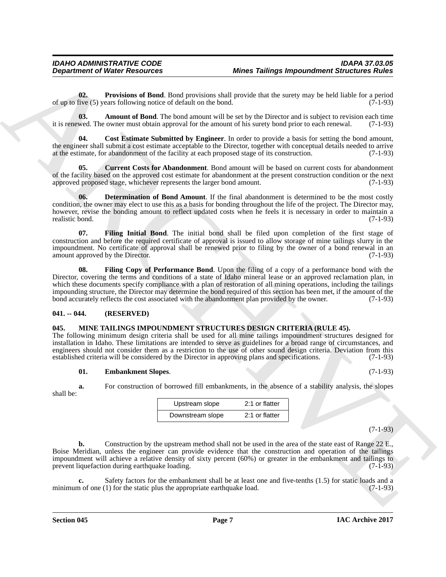<span id="page-6-8"></span>**02. Provisions of Bond**. Bond provisions shall provide that the surety may be held liable for a period five (5) years following notice of default on the bond. (7-1-93) of up to five  $(5)$  years following notice of default on the bond.

<span id="page-6-2"></span>**03. Amount of Bond**. The bond amount will be set by the Director and is subject to revision each time it is renewed. The owner must obtain approval for the amount of his surety bond prior to each renewal. (7-1-93)

<span id="page-6-3"></span>**04. Cost Estimate Submitted by Engineer**. In order to provide a basis for setting the bond amount, the engineer shall submit a cost estimate acceptable to the Director, together with conceptual details needed to arrive at the estimate, for abandonment of the facility at each proposed stage of its construction. (7-1-93)

<span id="page-6-4"></span>**05. Current Costs for Abandonment**. Bond amount will be based on current costs for abandonment of the facility based on the approved cost estimate for abandonment at the present construction condition or the next approved proposed stage, whichever represents the larger bond amount. (7-1-93)

<span id="page-6-5"></span>**06. Determination of Bond Amount**. If the final abandonment is determined to be the most costly condition, the owner may elect to use this as a basis for bonding throughout the life of the project. The Director may, however, revise the bonding amount to reflect updated costs when he feels it is necessary in order to maintain a realistic bond. (7-1-93)

<span id="page-6-7"></span><span id="page-6-6"></span>**07. Filing Initial Bond**. The initial bond shall be filed upon completion of the first stage of construction and before the required certificate of approval is issued to allow storage of mine tailings slurry in the impoundment. No certificate of approval shall be renewed prior to filing by the owner of a bond renewal in an amount approved by the Director. (7-1-93)

**Department of Nieser Research 66. More Tailings Impound on Silver 10. More Tailing Impound Silverion's River**<br> **ARCHIVES CONTROLLED IN THE SECTION AND INTERFERING TO THE SECTION CONTROLLED IN THE SECTION CONTROLLED I 08. Filing Copy of Performance Bond**. Upon the filing of a copy of a performance bond with the Director, covering the terms and conditions of a state of Idaho mineral lease or an approved reclamation plan, in which these documents specify compliance with a plan of restoration of all mining operations, including the tailings impounding structure, the Director may determine the bond required of this section has been met, if the amount of the bond accurately reflects the cost associated with the abandonment plan provided by the owner. (7-1-93)

#### <span id="page-6-0"></span>**041. -- 044. (RESERVED)**

#### <span id="page-6-9"></span><span id="page-6-1"></span>**045. MINE TAILINGS IMPOUNDMENT STRUCTURES DESIGN CRITERIA (RULE 45).**

The following minimum design criteria shall be used for all mine tailings impoundment structures designed for installation in Idaho. These limitations are intended to serve as guidelines for a broad range of circumstances, and engineers should not consider them as a restriction to the use of other sound design criteria. Deviation from this established criteria will be considered by the Director in approving plans and specifications. (7-1-93)

#### <span id="page-6-10"></span>**01. Embankment Slopes**. (7-1-93)

**a.** For construction of borrowed fill embankments, in the absence of a stability analysis, the slopes

| Upstream slope   | 2:1 or flatter |
|------------------|----------------|
| Downstream slope | 2:1 or flatter |

(7-1-93)

**b.** Construction by the upstream method shall not be used in the area of the state east of Range 22 E., Boise Meridian, unless the engineer can provide evidence that the construction and operation of the tailings impoundment will achieve a relative density of sixty percent (60%) or greater in the embankment and tailings to prevent lique faction during earthquake loading. (7-1-93) prevent liquefaction during earthquake loading.

**c.** Safety factors for the embankment shall be at least one and five-tenths (1.5) for static loads and a minimum of one (1) for the static plus the appropriate earthquake load. (7-1-93)

shall be: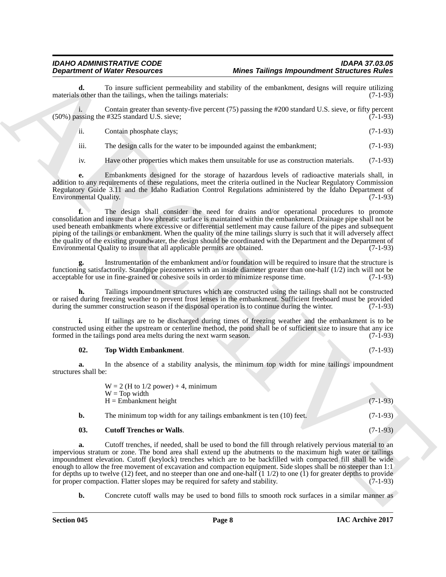**d.** To insure sufficient permeability and stability of the embankment, designs will require utilizing so ther than the tailings, when the tailings materials: (7-1-93) materials other than the tailings, when the tailings materials:

i. Contain greater than seventy-five percent (75) passing the #200 standard U.S. sieve, or fifty percent  $(50\%)$  passing the #325 standard U.S. sieve; (7-1-93)

- ii. Contain phosphate clays; (7-1-93)
- iii. The design calls for the water to be impounded against the embankment; (7-1-93)

iv. Have other properties which makes them unsuitable for use as construction materials. (7-1-93)

**e.** Embankments designed for the storage of hazardous levels of radioactive materials shall, in addition to any requirements of these regulations, meet the criteria outlined in the Nuclear Regulatory Commission Regulatory Guide 3.11 and the Idaho Radiation Control Regulations administered by the Idaho Department of Environmental Quality. (7-1-93)

**Department of Weise Production of Most Participa International School School School School School School School School School School School School School School School School School School School School School School Sch f.** The design shall consider the need for drains and/or operational procedures to promote consolidation and insure that a low phreatic surface is maintained within the embankment. Drainage pipe shall not be used beneath embankments where excessive or differential settlement may cause failure of the pipes and subsequent piping of the tailings or embankment. When the quality of the mine tailings slurry is such that it will adversely affect the quality of the existing groundwater, the design should be coordinated with the Department and the Department of Environmental Quality to insure that all applicable permits are obtained. (7-1-93) Environmental Quality to insure that all applicable permits are obtained.

**g.** Instrumentation of the embankment and/or foundation will be required to insure that the structure is functioning satisfactorily. Standpipe piezometers with an inside diameter greater than one-half (1/2) inch will not be acceptable for use in fine-grained or cohesive soils in order to minimize response time. (7-1-93) acceptable for use in fine-grained or cohesive soils in order to minimize response time.

**h.** Tailings impoundment structures which are constructed using the tailings shall not be constructed or raised during freezing weather to prevent frost lenses in the embankment. Sufficient freeboard must be provided during the summer construction season if the disposal operation is to continue during the winter. (7-1-93) during the summer construction season if the disposal operation is to continue during the winter.

**i.** If tailings are to be discharged during times of freezing weather and the embankment is to be constructed using either the upstream or centerline method, the pond shall be of sufficient size to insure that any ice<br>formed in the tailings pond area melts during the next warm season. (7-1-93) formed in the tailings pond area melts during the next warm season.

#### <span id="page-7-1"></span>**02. Top Width Embankment**. (7-1-93)

**a.** In the absence of a stability analysis, the minimum top width for mine tailings impoundment structures shall be:

|     | $W = 2$ (H to 1/2 power) + 4, minimum                               |            |
|-----|---------------------------------------------------------------------|------------|
|     | $W = Top$ width<br>$H =$ Embankment height                          | $(7-1-93)$ |
|     | The minimum top width for any tailings embankment is ten (10) feet. | $(7-1-93)$ |
| ΛΛ. | $\alpha$ , ee $\mathbf{r}$ , $\mathbf{r}$ , $\mathbf{r}$            | (7.102)    |

<span id="page-7-0"></span>**03. Cutoff Trenches or Walls**. (7-1-93)

**a.** Cutoff trenches, if needed, shall be used to bond the fill through relatively pervious material to an impervious stratum or zone. The bond area shall extend up the abutments to the maximum high water or tailings impoundment elevation. Cutoff (keylock) trenches which are to be backfilled with compacted fill shall be wide enough to allow the free movement of excavation and compaction equipment. Side slopes shall be no steeper than 1:1 for depths up to twelve (12) feet, and no steeper than one and one-half (1 1/2) to one (1) for greater depths to provide for proper compaction. Flatter slopes may be required for safety and stability. (7-1-93) for proper compaction. Flatter slopes may be required for safety and stability.

**b.** Concrete cutoff walls may be used to bond fills to smooth rock surfaces in a similar manner as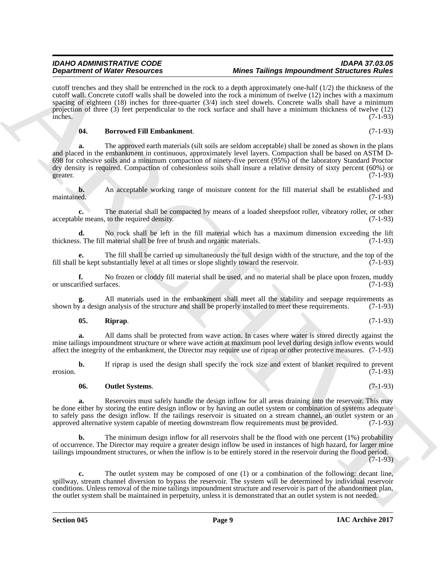#### *IDAHO ADMINISTRATIVE CODE IDAPA 37.03.05 Mines Tailings Impoundment Structures Rules*

cutoff trenches and they shall be entrenched in the rock to a depth approximately one-half (1/2) the thickness of the cutoff wall. Concrete cutoff walls shall be doweled into the rock a minimum of twelve (12) inches with a maximum spacing of eighteen (18) inches for three-quarter (3/4) inch steel dowels. Concrete walls shall have a minimum projection of three (3) feet perpendicular to the rock surface and shall have a minimum thickness of twelve (12)  $inches.$  (7-1-93)

#### <span id="page-8-0"></span>**04. Borrowed Fill Embankment**. (7-1-93)

**Dependence of Nicolas Passions of Nicolas Passions (Microsoftential) and Microsoftential Relations (Microsoftential Relations (Microsoftential Relations (Microsoftential Relations (Microsoftential Relations (Microsoftent a.** The approved earth materials (silt soils are seldom acceptable) shall be zoned as shown in the plans and placed in the embankment in continuous, approximately level layers. Compaction shall be based on ASTM D-698 for cohesive soils and a minimum compaction of ninety-five percent (95%) of the laboratory Standard Proctor dry density is required. Compaction of cohesionless soils shall insure a relative density of sixty percent (60%) or greater. (7-1-93)

**b.** An acceptable working range of moisture content for the fill material shall be established and maintained. (7-1-93) maintained. (7-1-93)

**c.** The material shall be compacted by means of a loaded sheepsfoot roller, vibratory roller, or other acceptable means, to the required density. (7-1-93)

**d.** No rock shall be left in the fill material which has a maximum dimension exceeding the lift s. The fill material shall be free of brush and organic materials. (7-1-93) thickness. The fill material shall be free of brush and organic materials.

**e.** The fill shall be carried up simultaneously the full design width of the structure, and the top of the fill shall be kept substantially level at all times or slope slightly toward the reservoir. (7-1-93)

**f.** No frozen or cloddy fill material shall be used, and no material shall be place upon frozen, muddy rified surfaces. (7-1-93) or unscarified surfaces.

**g.** All materials used in the embankment shall meet all the stability and seepage requirements as shown by a design analysis of the structure and shall be properly installed to meet these requirements. (7-1-93)

#### <span id="page-8-2"></span>**05. Riprap**. (7-1-93)

**a.** All dams shall be protected from wave action. In cases where water is stored directly against the mine tailings impoundment structure or where wave action at maximum pool level during design inflow events would affect the integrity of the embankment, the Director may require use of riprap or other protective measures. (7-1-93)

**b.** If riprap is used the design shall specify the rock size and extent of blanket required to prevent (7-1-93) erosion. (7-1-93)

### <span id="page-8-1"></span>**06. Outlet Systems**. (7-1-93)

**a.** Reservoirs must safely handle the design inflow for all areas draining into the reservoir. This may be done either by storing the entire design inflow or by having an outlet system or combination of systems adequate to safely pass the design inflow. If the tailings reservoir is situated on a stream channel, an outlet system or an approved alternative system capable of meeting downstream flow requirements must be provided. (7-1-93)

**b.** The minimum design inflow for all reservoirs shall be the flood with one percent (1%) probability of occurrence. The Director may require a greater design inflow be used in instances of high hazard, for larger mine tailings impoundment structures, or when the inflow is to be entirely stored in the reservoir during the flood period. (7-1-93)

**c.** The outlet system may be composed of one (1) or a combination of the following: decant line, spillway, stream channel diversion to bypass the reservoir. The system will be determined by individual reservoir conditions. Unless removal of the mine tailings impoundment structure and reservoir is part of the abandonment plan, the outlet system shall be maintained in perpetuity, unless it is demonstrated that an outlet system is not needed.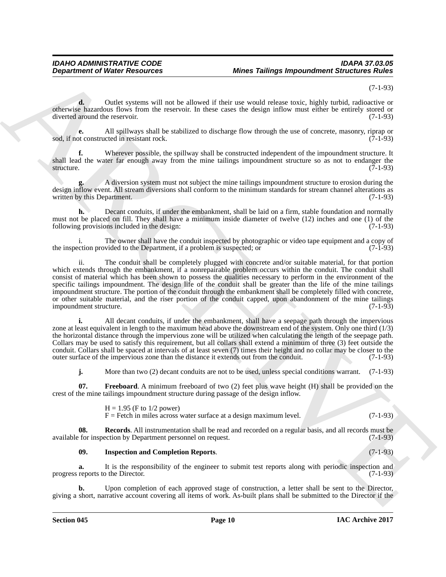(7-1-93)

**d.** Outlet systems will not be allowed if their use would release toxic, highly turbid, radioactive or otherwise hazardous flows from the reservoir. In these cases the design inflow must either be entirely stored or diverted around the reservoir. (7-1-93)

**e.** All spillways shall be stabilized to discharge flow through the use of concrete, masonry, riprap or objection of constructed in resistant rock. sod, if not constructed in resistant rock.

**f.** Wherever possible, the spillway shall be constructed independent of the impoundment structure. It shall lead the water far enough away from the mine tailings impoundment structure so as not to endanger the structure.  $(7-1-93)$ structure. (7-1-93)

**g.** A diversion system must not subject the mine tailings impoundment structure to erosion during the design inflow event. All stream diversions shall conform to the minimum standards for stream channel alterations as written by this Department. (7-1-93) written by this Department.

**h.** Decant conduits, if under the embankment, shall be laid on a firm, stable foundation and normally must not be placed on fill. They shall have a minimum inside diameter of twelve (12) inches and one (1) of the following provisions included in the design: (7-1-93)

i. The owner shall have the conduit inspected by photographic or video tape equipment and a copy of consider to the Department, if a problem is suspected; or the inspection provided to the Department, if a problem is suspected; or

**Department of Weight Resources Mones Tailings Insperses Mones Tailings International Studies and European Studies and European Studies and European Studies and Tailor (14-15)<br>
Scheme Resources and Tailor (14-15) and the** ii. The conduit shall be completely plugged with concrete and/or suitable material, for that portion which extends through the embankment, if a nonrepairable problem occurs within the conduit. The conduit shall consist of material which has been shown to possess the qualities necessary to perform in the environment of the specific tailings impoundment. The design life of the conduit shall be greater than the life of the mine tailings impoundment structure. The portion of the conduit through the embankment shall be completely filled with concrete, or other suitable material, and the riser portion of the conduit capped, upon abandonment of the mine tailings impoundment structure. (7-1-93) impoundment structure.

**i.** All decant conduits, if under the embankment, shall have a seepage path through the impervious zone at least equivalent in length to the maximum head above the downstream end of the system. Only one third (1/3) the horizontal distance through the impervious zone will be utilized when calculating the length of the seepage path. Collars may be used to satisfy this requirement, but all collars shall extend a minimum of three (3) feet outside the conduit. Collars shall be spaced at intervals of at least seven (7) times their height and no collar may be closer to the outer surface of the impervious zone than the distance it extends out from the conduit. (7-1-93)

<span id="page-9-0"></span>**j.** More than two (2) decant conduits are not to be used, unless special conditions warrant. (7-1-93)

**07. Freeboard**. A minimum freeboard of two (2) feet plus wave height (H) shall be provided on the crest of the mine tailings impoundment structure during passage of the design inflow.

> <span id="page-9-2"></span> $H = 1.95$  (F to 1/2 power)  $F =$  Fetch in miles across water surface at a design maximum level.  $(7-1-93)$

**08. Records**. All instrumentation shall be read and recorded on a regular basis, and all records must be available for inspection by Department personnel on request. (7-1-93)

#### <span id="page-9-1"></span>**09. Inspection and Completion Reports**. (7-1-93)

**a.** It is the responsibility of the engineer to submit test reports along with periodic inspection and reports to the Director. (7-1-93) progress reports to the Director.

**b.** Upon completion of each approved stage of construction, a letter shall be sent to the Director, giving a short, narrative account covering all items of work. As-built plans shall be submitted to the Director if the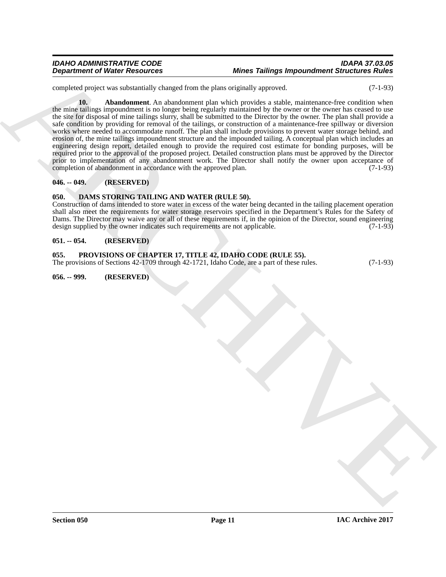#### *IDAHO ADMINISTRATIVE CODE IDAPA 37.03.05 Mines Tailings Impoundment Structures Rules*

<span id="page-10-6"></span>completed project was substantially changed from the plans originally approved. (7-1-93)

Department of Water Research as the state Tailors and the state Tailors in the Christian Research and the state of the state of the state of the state of the state of the state of the state of the state of the state of th **10. Abandonment**. An abandonment plan which provides a stable, maintenance-free condition when the mine tailings impoundment is no longer being regularly maintained by the owner or the owner has ceased to use the site for disposal of mine tailings slurry, shall be submitted to the Director by the owner. The plan shall provide a safe condition by providing for removal of the tailings, or construction of a maintenance-free spillway or diversion works where needed to accommodate runoff. The plan shall include provisions to prevent water storage behind, and erosion of, the mine tailings impoundment structure and the impounded tailing. A conceptual plan which includes an engineering design report, detailed enough to provide the required cost estimate for bonding purposes, will be required prior to the approval of the proposed project. Detailed construction plans must be approved by the Director prior to implementation of any abandonment work. The Director shall notify the owner upon acceptance of completion of abandonment in accordance with the approved plan. (7-1-93)

#### <span id="page-10-0"></span>**046. -- 049. (RESERVED)**

#### <span id="page-10-5"></span><span id="page-10-1"></span>**050. DAMS STORING TAILING AND WATER (RULE 50).**

Construction of dams intended to store water in excess of the water being decanted in the tailing placement operation shall also meet the requirements for water storage reservoirs specified in the Department's Rules for the Safety of Dams. The Director may waive any or all of these requirements if, in the opinion of the Director, sound engineering design supplied by the owner indicates such requirements are not applicable. (7-1-93)

#### <span id="page-10-2"></span>**051. -- 054. (RESERVED)**

#### <span id="page-10-3"></span>**055. PROVISIONS OF CHAPTER 17, TITLE 42, IDAHO CODE (RULE 55).**

The provisions of Sections 42-1709 through 42-1721, Idaho Code, are a part of these rules. (7-1-93)

<span id="page-10-4"></span>**056. -- 999. (RESERVED)**